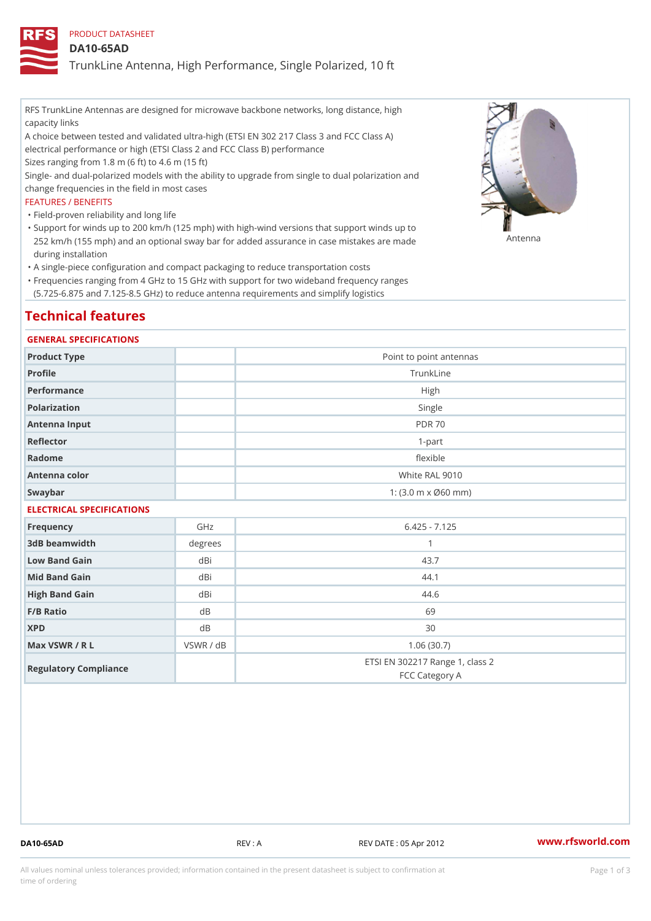PRODUCT DATASHEET

DA10-65AD

TrunkLine Antenna, High Performance, Single Polarized, 10 ft

RFS TrunkLine Antennas are designed for microwave backbone networks, long distance, high capacity links

A choice between tested and validated ultra-high (ETSI EN 302 217 Class 3 and FCC Class A) electrical performance or high (ETSI Class 2 and FCC Class B) performance

Sizes ranging from 1.8 m (6 ft) to 4.6 m (15 ft)

Single- and dual-polarized models with the ability to upgrade from single to dual polarization and change frequencies in the field in most cases

### FEATURES / BENEFITS

"Field-proven reliability and long life

- Support for winds up to 200 km/h (125 mph) with high-wind versions that support winds up to " 252 km/h (155 mph) and an optional sway bar for added assurance in case m 48 #8 R B & are made during installation
- "A single-piece configuration and compact packaging to reduce transportation costs
- Frequencies ranging from 4 GHz to 15 GHz with support for two wideband frequency ranges " (5.725-6.875 and 7.125-8.5 GHz) to reduce antenna requirements and simplify logistics

# Technical features

### GENERAL SPECIFICATIONS

| Product Type              | Point to point antennas                                 |  |  |  |
|---------------------------|---------------------------------------------------------|--|--|--|
| Profile                   | TrunkLine                                               |  |  |  |
| Performance               | High                                                    |  |  |  |
| Polarization              | Single                                                  |  |  |  |
| Antenna Input             | <b>PDR 70</b>                                           |  |  |  |
| Reflector                 | $1-part$                                                |  |  |  |
| Radome                    | flexible                                                |  |  |  |
| Antenna color             | White RAL 9010                                          |  |  |  |
| Swaybar                   | 1: $(3.0 \, \text{m} \times \emptyset 60 \, \text{mm})$ |  |  |  |
| ELECTRICAL SPECIFICATIONS |                                                         |  |  |  |

| Frequency             | GHz       | $6.425 - 7.125$                                   |
|-----------------------|-----------|---------------------------------------------------|
| 3dB beamwidth         | degrees   |                                                   |
| Low Band Gain         | dBi       | 43.7                                              |
| Mid Band Gain         | dBi       | 44.1                                              |
| High Band Gain        | dBi       | 44.6                                              |
| $F/B$ Ratio           | d B       | 69                                                |
| <b>XPD</b>            | d B       | 30                                                |
| Max VSWR / R L        | VSWR / dB | 1.06(30.7)                                        |
| Regulatory Compliance |           | ETSI EN 302217 Range 1, class 2<br>FCC Category A |

DA10-65AD REV : A REV DATE : 05 Apr 2012 [www.](https://www.rfsworld.com)rfsworld.com

All values nominal unless tolerances provided; information contained in the present datasheet is subject to Pcapgeign mation time of ordering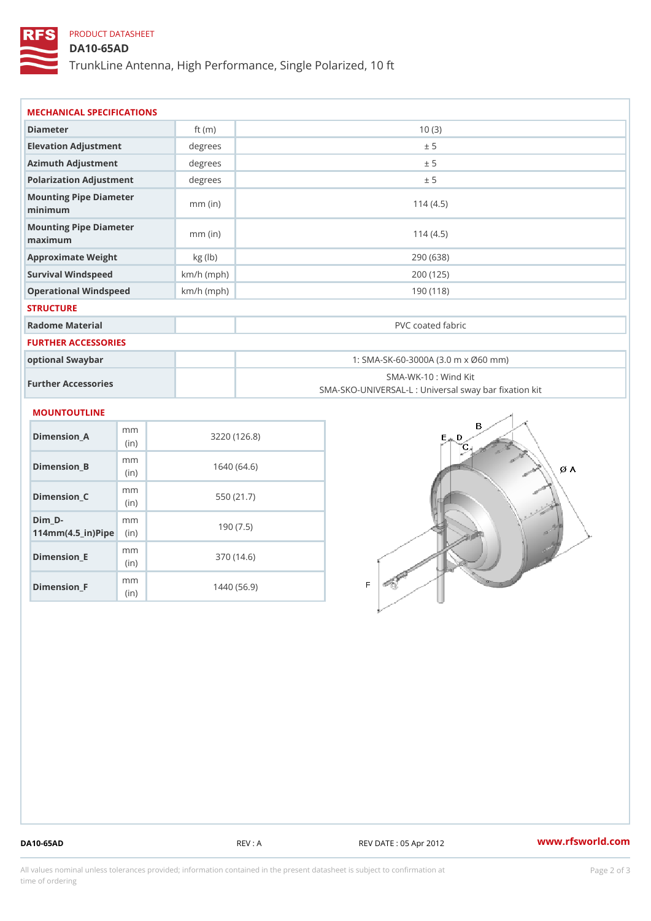## PRODUCT DATASHEET

DA10-65AD

TrunkLine Antenna, High Performance, Single Polarized, 10 ft

| MECHANICAL SPECIFICATIONS                                          |                        |              |                                     |  |                                                                          |
|--------------------------------------------------------------------|------------------------|--------------|-------------------------------------|--|--------------------------------------------------------------------------|
| Diameter                                                           |                        | ft $(m)$     | 10(3)                               |  |                                                                          |
| Elevation Adjustment                                               |                        | degrees      |                                     |  | ± 5                                                                      |
| Azimuth Adjustment                                                 |                        | degree:      | ± 5                                 |  |                                                                          |
| Polarization Adjustment                                            |                        | degrees      | ± 5                                 |  |                                                                          |
| Mounting Pipe Diameter<br>minimaum                                 |                        | $mm$ (in)    | 114(4.5)                            |  |                                                                          |
| Mounting Pipe Diameter<br>maximum                                  |                        | $mm$ (in)    |                                     |  | 114(4.5)                                                                 |
| Approximate Weight                                                 |                        | kg (lb)      | 290 (638)                           |  |                                                                          |
| Survival Windspeed                                                 |                        | $km/h$ (mph) | 200 (125)                           |  |                                                                          |
| Operational Windspeed                                              |                        | $km/h$ (mph) | 190(118)                            |  |                                                                          |
| <b>STRUCTURE</b>                                                   |                        |              |                                     |  |                                                                          |
| Radome Material                                                    |                        |              | PVC coated fabric                   |  |                                                                          |
| FURTHER ACCESSORIES                                                |                        |              |                                     |  |                                                                          |
| optional Swaybar                                                   |                        |              | 1: SMA-SK-60-3000A (3.0 m x Ø60 mm) |  |                                                                          |
| Further Accessories                                                |                        |              |                                     |  | SMA-WK-10: Wind Kit<br>SMA-SKO-UNIVERSAL-L : Universal sway bar fixation |
| <b>MOUNTOUTLINE</b>                                                |                        |              |                                     |  |                                                                          |
| $Dimension_A$                                                      | m <sub>m</sub><br>(in) |              | 3220(126.8)                         |  |                                                                          |
| $Dimension_B$                                                      | m m<br>(in)            | 1640(64.6)   |                                     |  |                                                                          |
| $Dimension_C$                                                      | m m<br>(in)            | 550 (21.7)   |                                     |  |                                                                          |
| $Dim_D - D -$<br>$114$ m m (4.5 _ ir ) $\sqrt{$ im $\cdot$ $\cdot$ | m <sub>m</sub>         | 190(7.5)     |                                     |  |                                                                          |
| <b>B</b> the control of the control                                | m m                    |              | 0.70(110)                           |  |                                                                          |

Dimension\_E

Dimension\_F

(in)

m<sub>m</sub> (in)

370 (14.6)

1440 (56.9)

DA10-65AD REV : A REV DATE : 05 Apr 2012 [www.](https://www.rfsworld.com)rfsworld.com

All values nominal unless tolerances provided; information contained in the present datasheet is subject to Pcapgelio an atio time of ordering